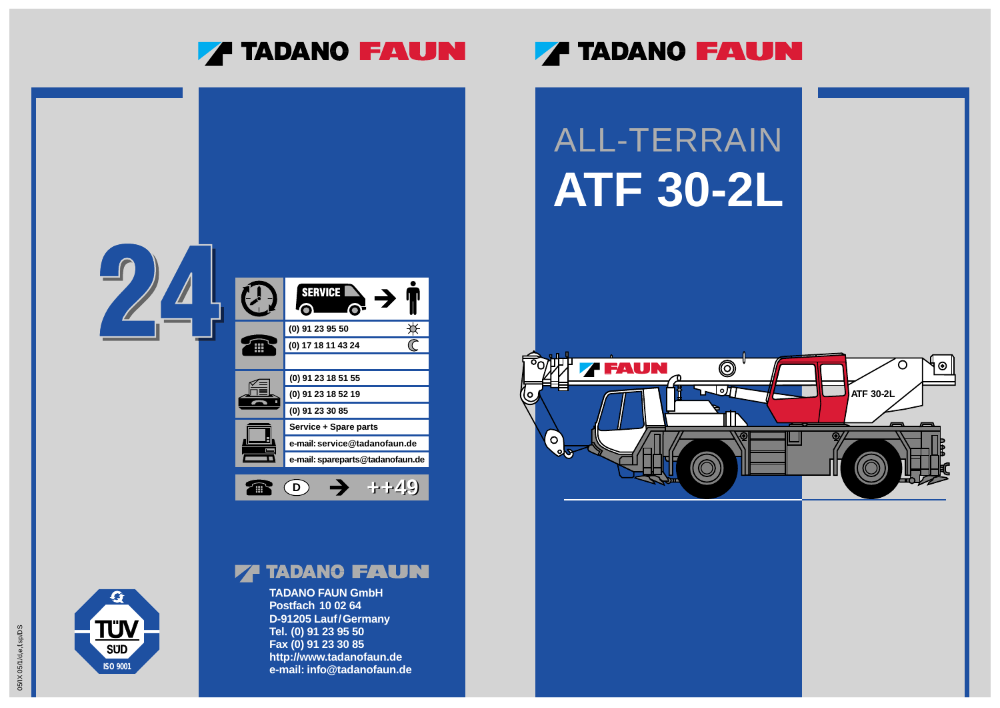**TADANO FAUN GmbH Postfach 10 02 64 D-91205 Lauf/Germany Tel. (0) 91 23 95 50 Fax (0) 91 23 30 85 http://www.tadanofaun.de e-mail: info@tadanofaun.de**

### **7 TADANO FAUN**



### **77 TADANO FAUN**



**ISO 9001**

**SUD** 

 $\boldsymbol{G}$ 

**TÜV**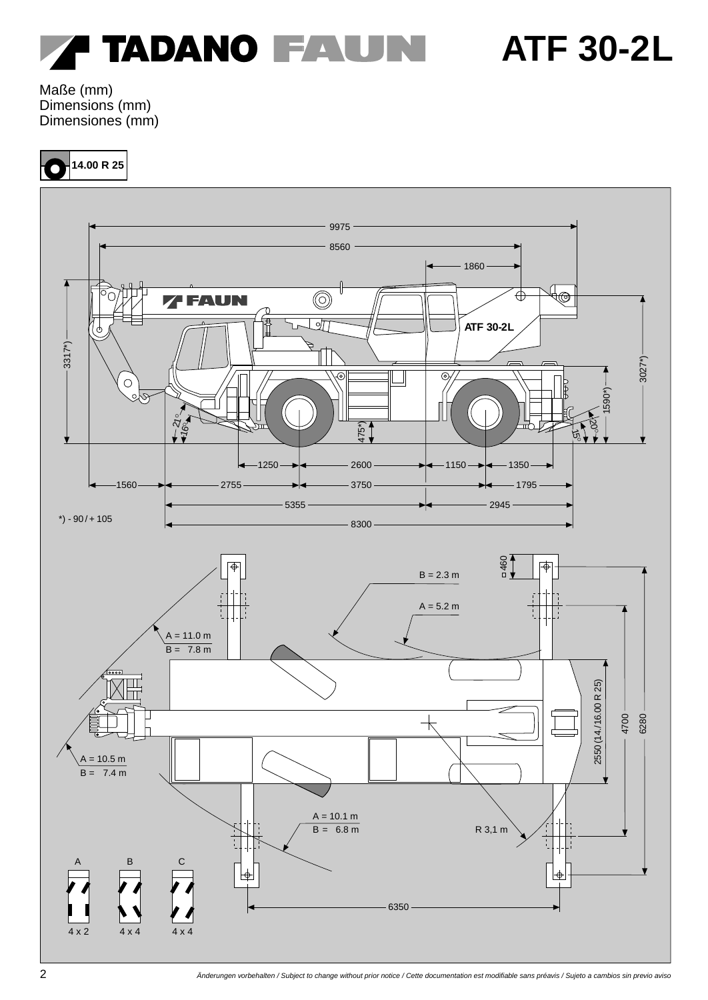

Maße (mm) Dimensions (mm) Dimensiones (mm)

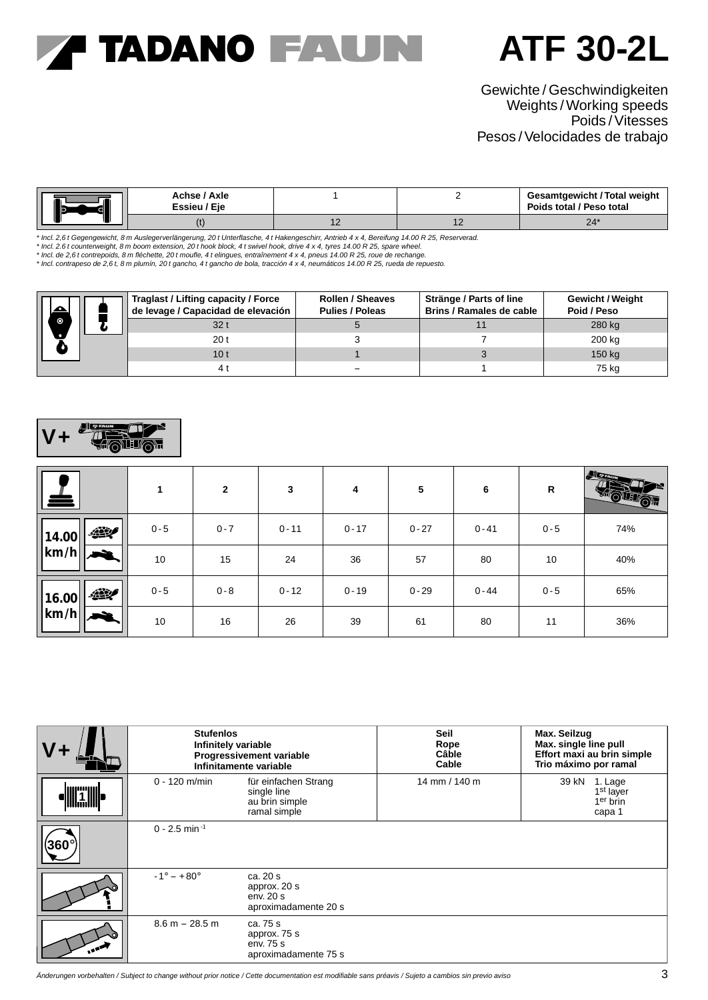### **7 TADANO FAUN**

### **ATF 30-2L**

### Gewichte / Geschwindigkeiten Weights /Working speeds Poids /Vitesses Pesos /Velocidades de trabajo

|  | Achse / Axle<br>Essieu / Eie |     | <b>Gesamtgewicht / Total weight</b><br>Poids total / Peso total |
|--|------------------------------|-----|-----------------------------------------------------------------|
|  |                              | . . | 24                                                              |

\* Incl. 2,6 t Gegengewicht, 8 m Auslegerverlängerung, 20 t Unterflasche, 4 t Hakengeschirr, Antrieb 4 x 4, Bereifung 14.00 R 25, Reserverad.<br>\* Incl. 2.6 t counterweight, 8 m boom extension, 20 t hook block, 4 t swivel hook

\* Incl. de 2,6 t contrepoids, 8 m fléchette, 20 t moufle, 4 t elingues, entraînement 4 x 4, pneus 14.00 R 25, roue de rechange.<br>\* Incl. contrapeso de 2,6 t, 8 m plumín, 20 t gancho, 4 t gancho de bola, tracción 4 x 4, neum

|           |  | Traglast / Lifting capacity / Force<br>de levage / Capacidad de elevación | <b>Rollen / Sheaves</b><br><b>Pulies / Poleas</b> | Stränge / Parts of line<br>Brins / Ramales de cable | <b>Gewicht / Weight</b><br>Poid / Peso |
|-----------|--|---------------------------------------------------------------------------|---------------------------------------------------|-----------------------------------------------------|----------------------------------------|
|           |  | 32 t                                                                      |                                                   |                                                     | 280 kg                                 |
| $\bullet$ |  | 20 t                                                                      |                                                   |                                                     | 200 kg                                 |
|           |  | 10 <sub>t</sub>                                                           |                                                   |                                                     | 150 kg                                 |
|           |  | 41                                                                        |                                                   |                                                     | 75 kg                                  |

#### 建學 **THREE V+**

| Land                                | 1       | $\mathbf{2}$ | 3        | 4        | 5        | 6        | R       | Alltarm |
|-------------------------------------|---------|--------------|----------|----------|----------|----------|---------|---------|
| $\mathcal{L}$<br> 14.00             | $0 - 5$ | $0 - 7$      | $0 - 11$ | $0 - 17$ | $0 - 27$ | $0 - 41$ | $0 - 5$ | 74%     |
| $\vert\vert\mathrm{km/h}\vert\vert$ | 10      | 15           | 24       | 36       | 57       | 80       | 10      | 40%     |
| 427<br> 16.00                       | $0 - 5$ | $0 - 8$      | $0 - 12$ | $0 - 19$ | $0 - 29$ | $0 - 44$ | $0 - 5$ | 65%     |
| $\left \mathrm{km/h}\right  \geq 1$ | 10      | 16           | 26       | 39       | 61       | 80       | 11      | 36%     |

| <b>Stufenlos</b>            | Infinitely variable<br>Progressivement variable<br>Infinitamente variable | Seil<br>Rope<br>Câble<br>Cable | Max. Seilzug<br>Max. single line pull<br>Effort maxi au brin simple<br>Trio máximo por ramal |
|-----------------------------|---------------------------------------------------------------------------|--------------------------------|----------------------------------------------------------------------------------------------|
| $0 - 120$ m/min             | für einfachen Strang<br>single line<br>au brin simple<br>ramal simple     | 14 mm / 140 m                  | 39 kN<br>1. Lage<br>1 <sup>st</sup> layer<br>1 <sup>er</sup> brin<br>capa 1                  |
| $0 - 2.5$ min <sup>-1</sup> |                                                                           |                                |                                                                                              |
| $-1^{\circ} - +80^{\circ}$  | ca. 20 s<br>approx. 20 s<br>env.20s<br>aproximadamente 20 s               |                                |                                                                                              |
| $8.6 m - 28.5 m$            | ca. 75 s<br>approx. 75 s<br>env. 75 s<br>aproximadamente 75 s             |                                |                                                                                              |

Änderungen vorbehalten / Subject to change without prior notice / Cette documentation est modifiable sans préavis / Sujeto a cambios sin previo aviso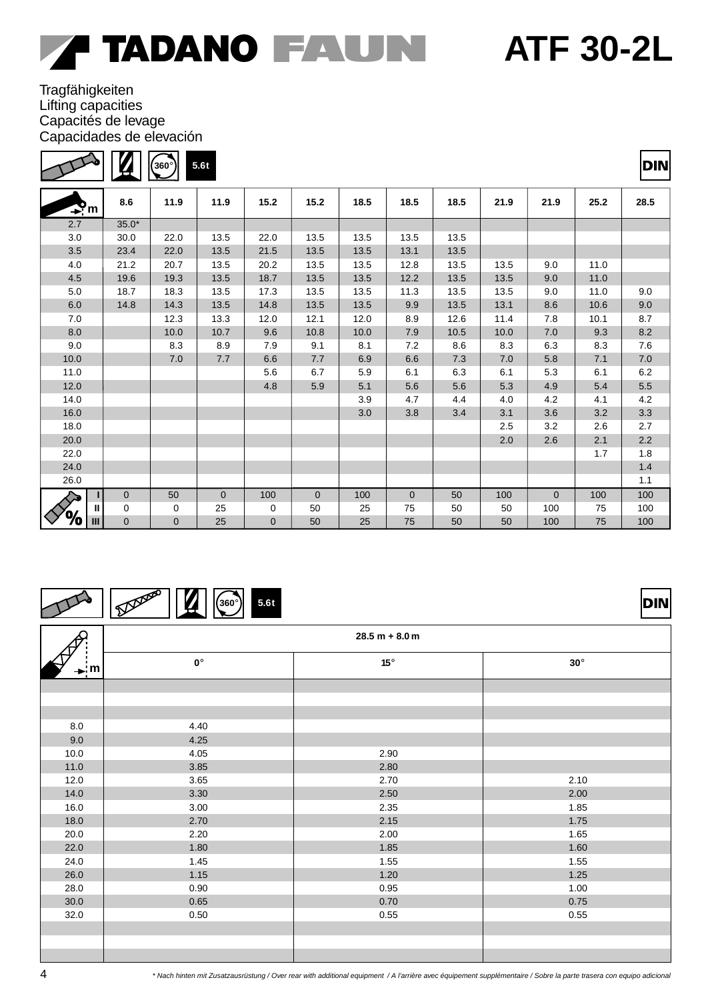$\Box$ 

**DIN** 

### **Tragfähigkeiten** Lifting capacities Capacités de levage Capacidades de elevación

 $\Gamma$ 

|                     |              | 360°           | 5.6t         |                |              |      |                |      |      |              |      | <b>DIN</b> |
|---------------------|--------------|----------------|--------------|----------------|--------------|------|----------------|------|------|--------------|------|------------|
| $\mathbf{P}_m$      | 8.6          | 11.9           | 11.9         | 15.2           | 15.2         | 18.5 | 18.5           | 18.5 | 21.9 | 21.9         | 25.2 | 28.5       |
| 2.7                 | $35.0*$      |                |              |                |              |      |                |      |      |              |      |            |
| 3.0                 | 30.0         | 22.0           | 13.5         | 22.0           | 13.5         | 13.5 | 13.5           | 13.5 |      |              |      |            |
| 3.5                 | 23.4         | 22.0           | 13.5         | 21.5           | 13.5         | 13.5 | 13.1           | 13.5 |      |              |      |            |
| 4.0                 | 21.2         | 20.7           | 13.5         | 20.2           | 13.5         | 13.5 | 12.8           | 13.5 | 13.5 | 9.0          | 11.0 |            |
| 4.5                 | 19.6         | 19.3           | 13.5         | 18.7           | 13.5         | 13.5 | 12.2           | 13.5 | 13.5 | 9.0          | 11.0 |            |
| 5.0                 | 18.7         | 18.3           | 13.5         | 17.3           | 13.5         | 13.5 | 11.3           | 13.5 | 13.5 | 9.0          | 11.0 | 9.0        |
| 6.0                 | 14.8         | 14.3           | 13.5         | 14.8           | 13.5         | 13.5 | 9.9            | 13.5 | 13.1 | 8.6          | 10.6 | 9.0        |
| 7.0                 |              | 12.3           | 13.3         | 12.0           | 12.1         | 12.0 | 8.9            | 12.6 | 11.4 | 7.8          | 10.1 | 8.7        |
| 8.0                 |              | 10.0           | 10.7         | 9.6            | 10.8         | 10.0 | 7.9            | 10.5 | 10.0 | 7.0          | 9.3  | $8.2\,$    |
| 9.0                 |              | 8.3            | 8.9          | 7.9            | 9.1          | 8.1  | 7.2            | 8.6  | 8.3  | 6.3          | 8.3  | 7.6        |
| 10.0                |              | 7.0            | 7.7          | 6.6            | 7.7          | 6.9  | 6.6            | 7.3  | 7.0  | 5.8          | 7.1  | 7.0        |
| 11.0                |              |                |              | 5.6            | 6.7          | 5.9  | 6.1            | 6.3  | 6.1  | 5.3          | 6.1  | $6.2\,$    |
| 12.0                |              |                |              | 4.8            | 5.9          | 5.1  | 5.6            | 5.6  | 5.3  | 4.9          | 5.4  | $5.5\,$    |
| 14.0                |              |                |              |                |              | 3.9  | 4.7            | 4.4  | 4.0  | 4.2          | 4.1  | 4.2        |
| 16.0                |              |                |              |                |              | 3.0  | 3.8            | 3.4  | 3.1  | 3.6          | 3.2  | $3.3\,$    |
| 18.0                |              |                |              |                |              |      |                |      | 2.5  | 3.2          | 2.6  | 2.7        |
| 20.0                |              |                |              |                |              |      |                |      | 2.0  | 2.6          | 2.1  | $2.2\,$    |
| 22.0                |              |                |              |                |              |      |                |      |      |              | 1.7  | 1.8        |
| 24.0                |              |                |              |                |              |      |                |      |      |              |      | $1.4$      |
| 26.0                |              |                |              |                |              |      |                |      |      |              |      | 1.1        |
|                     | $\mathbf{0}$ | 50             | $\mathbf{0}$ | 100            | $\mathbf{0}$ | 100  | $\overline{0}$ | 50   | 100  | $\mathbf{0}$ | 100  | 100        |
| Ш                   | 0            | 0              | 25           | 0              | 50           | 25   | 75             | 50   | 50   | 100          | 75   | 100        |
| ℅<br>$\mathbf{III}$ | $\mathbf 0$  | $\overline{0}$ | 25           | $\overline{0}$ | 50           | 25   | 75             | 50   | 50   | 100          | 75   | 100        |

#### Deposed **360**° **5.6 t**  $\boldsymbol{Z}$

8.0 9.0 10.0 11.0 12.0 14.0 16.0 18.0 20.0 22.0 24.0 26.0 28.0 30.0 32.0 **28.5 m + 8.0 m 0**° **15**° **30**° 4.40 4.25 4.05 3.85 3.65 3.30 3.00 2.70 2.20 1.80 1.45 1.15 0.90 0.65 0.50 2.90 2.80 2.70 2.50 2.35 2.15 2.00 1.85 1.55 1.20 0.95 0.70 0.55 2.10 2.00 1.85 1.75 1.65 1.60 1.55 1.25 1.00 0.75 0.55  $\div$ **m**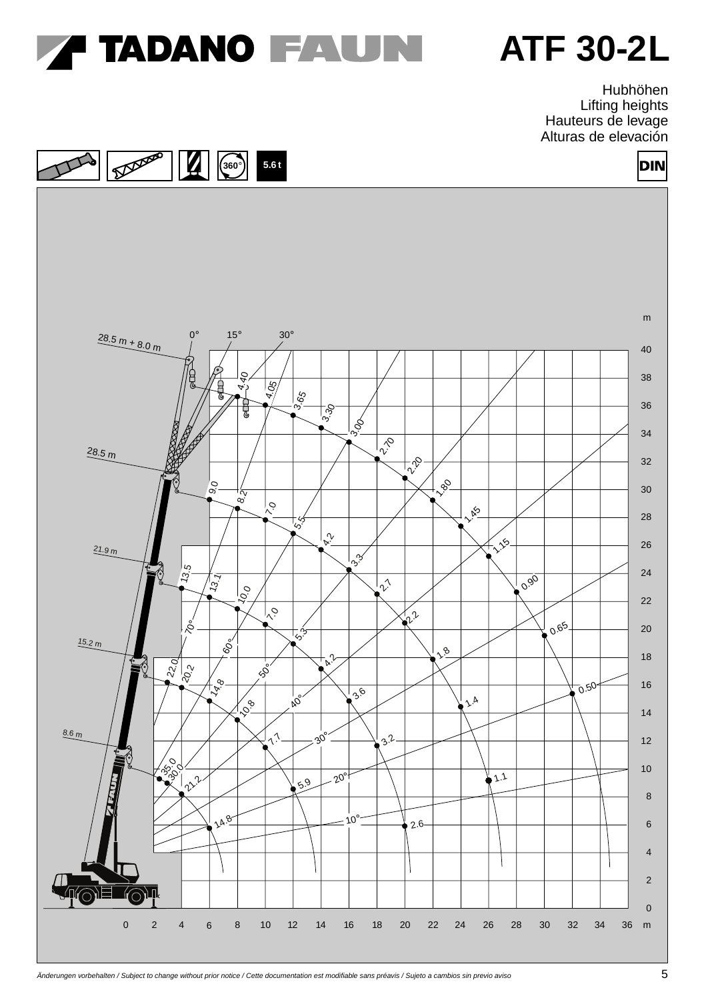

Hubhöhen Lifting heights Hauteurs de levage Alturas de elevación

DIN



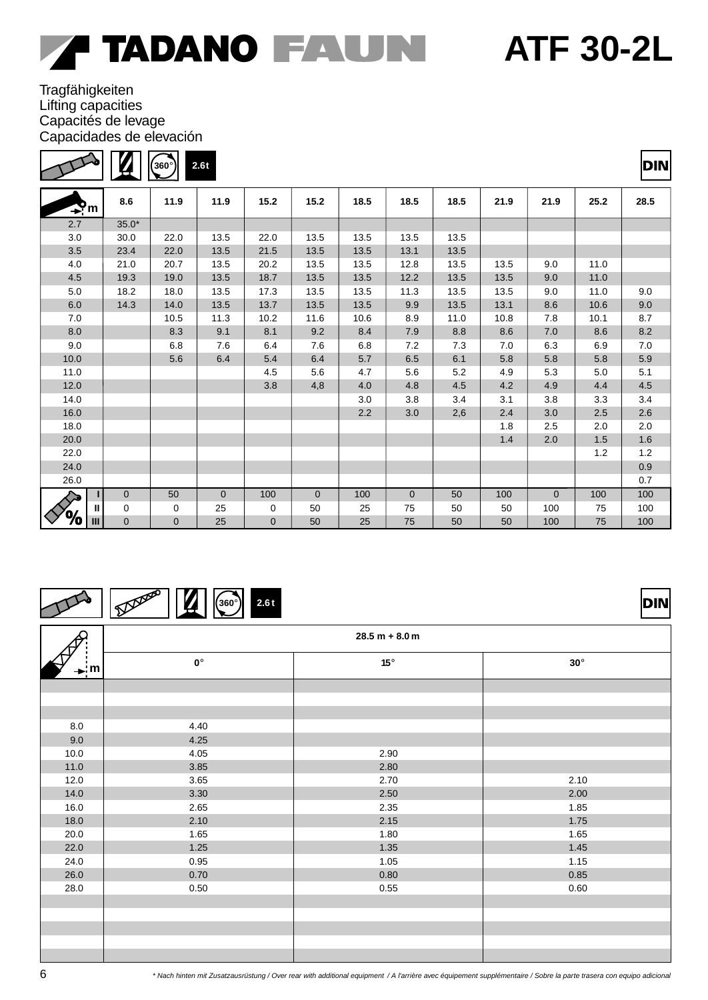$\Box$ ┑

**DIN** 

### **Tragfähigkeiten** Lifting capacities Capacités de levage Capacidades de elevación

 $\Gamma$ 

|                     | И           | (360°)      | 2.6t         |             |                |      |                |      |      |                |       | DIN     |
|---------------------|-------------|-------------|--------------|-------------|----------------|------|----------------|------|------|----------------|-------|---------|
| $\mathbf{P}_m$      | 8.6         | 11.9        | 11.9         | 15.2        | 15.2           | 18.5 | 18.5           | 18.5 | 21.9 | 21.9           | 25.2  | 28.5    |
| 2.7                 | $35.0*$     |             |              |             |                |      |                |      |      |                |       |         |
| 3.0                 | 30.0        | 22.0        | 13.5         | 22.0        | 13.5           | 13.5 | 13.5           | 13.5 |      |                |       |         |
| 3.5                 | 23.4        | 22.0        | 13.5         | 21.5        | 13.5           | 13.5 | 13.1           | 13.5 |      |                |       |         |
| 4.0                 | 21.0        | 20.7        | 13.5         | 20.2        | 13.5           | 13.5 | 12.8           | 13.5 | 13.5 | 9.0            | 11.0  |         |
| 4.5                 | 19.3        | 19.0        | 13.5         | 18.7        | 13.5           | 13.5 | 12.2           | 13.5 | 13.5 | 9.0            | 11.0  |         |
| 5.0                 | 18.2        | 18.0        | 13.5         | 17.3        | 13.5           | 13.5 | 11.3           | 13.5 | 13.5 | 9.0            | 11.0  | 9.0     |
| 6.0                 | 14.3        | 14.0        | 13.5         | 13.7        | 13.5           | 13.5 | 9.9            | 13.5 | 13.1 | 8.6            | 10.6  | 9.0     |
| 7.0                 |             | 10.5        | 11.3         | 10.2        | 11.6           | 10.6 | 8.9            | 11.0 | 10.8 | 7.8            | 10.1  | 8.7     |
| 8.0                 |             | 8.3         | 9.1          | 8.1         | 9.2            | 8.4  | 7.9            | 8.8  | 8.6  | 7.0            | 8.6   | 8.2     |
| 9.0                 |             | 6.8         | 7.6          | 6.4         | 7.6            | 6.8  | 7.2            | 7.3  | 7.0  | 6.3            | 6.9   | 7.0     |
| 10.0                |             | 5.6         | 6.4          | 5.4         | 6.4            | 5.7  | 6.5            | 6.1  | 5.8  | 5.8            | 5.8   | 5.9     |
| 11.0                |             |             |              | 4.5         | 5.6            | 4.7  | 5.6            | 5.2  | 4.9  | 5.3            | 5.0   | 5.1     |
| 12.0                |             |             |              | 3.8         | 4,8            | 4.0  | 4.8            | 4.5  | 4.2  | 4.9            | 4.4   | 4.5     |
| 14.0                |             |             |              |             |                | 3.0  | 3.8            | 3.4  | 3.1  | 3.8            | 3.3   | 3.4     |
| 16.0                |             |             |              |             |                | 2.2  | 3.0            | 2,6  | 2.4  | 3.0            | 2.5   | 2.6     |
| 18.0                |             |             |              |             |                |      |                |      | 1.8  | 2.5            | 2.0   | 2.0     |
| 20.0                |             |             |              |             |                |      |                |      | 1.4  | 2.0            | 1.5   | 1.6     |
| 22.0                |             |             |              |             |                |      |                |      |      |                | $1.2$ | $1.2$   |
| 24.0                |             |             |              |             |                |      |                |      |      |                |       | $0.9\,$ |
| 26.0                |             |             |              |             |                |      |                |      |      |                |       | 0.7     |
|                     | 0           | 50          | $\mathbf{0}$ | 100         | $\overline{0}$ | 100  | $\overline{0}$ | 50   | 100  | $\overline{0}$ | 100   | 100     |
| $\mathbf{I}$        | 0           | 0           | 25           | 0           | 50             | 25   | 75             | 50   | 50   | 100            | 75    | 100     |
| ‰<br>$\mathbf{III}$ | $\mathbf 0$ | $\mathbf 0$ | 25           | $\mathbf 0$ | 50             | 25   | 75             | 50   | 50   | 100            | 75    | 100     |

#### Deposed  $\mathbf Z$ **360**° **2.6 t**

8.0 9.0 10.0 11.0 12.0 14.0 16.0 18.0 20.0 22.0 24.0 26.0 28.0 **28.5 m + 8.0 m 0**° **15**° **30**° 4.40 4.25 4.05 3.85 3.65 3.30 2.65 2.10 1.65 1.25 0.95 0.70 0.50 2.90 2.80 2.70 2.50 2.35 2.15 1.80 1.35 1.05 0.80 0.55 2.10 2.00 1.85 1.75 1.65 1.45 1.15 0.85 0.60 **m**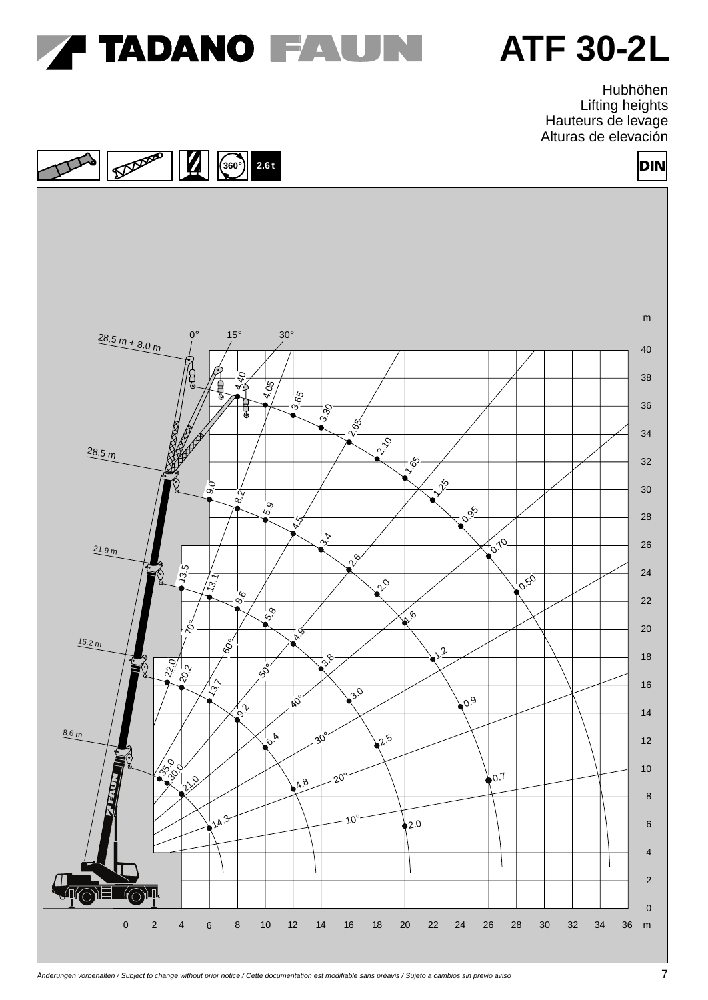

Hubhöhen Lifting heights Hauteurs de levage Alturas de elevación

DIN



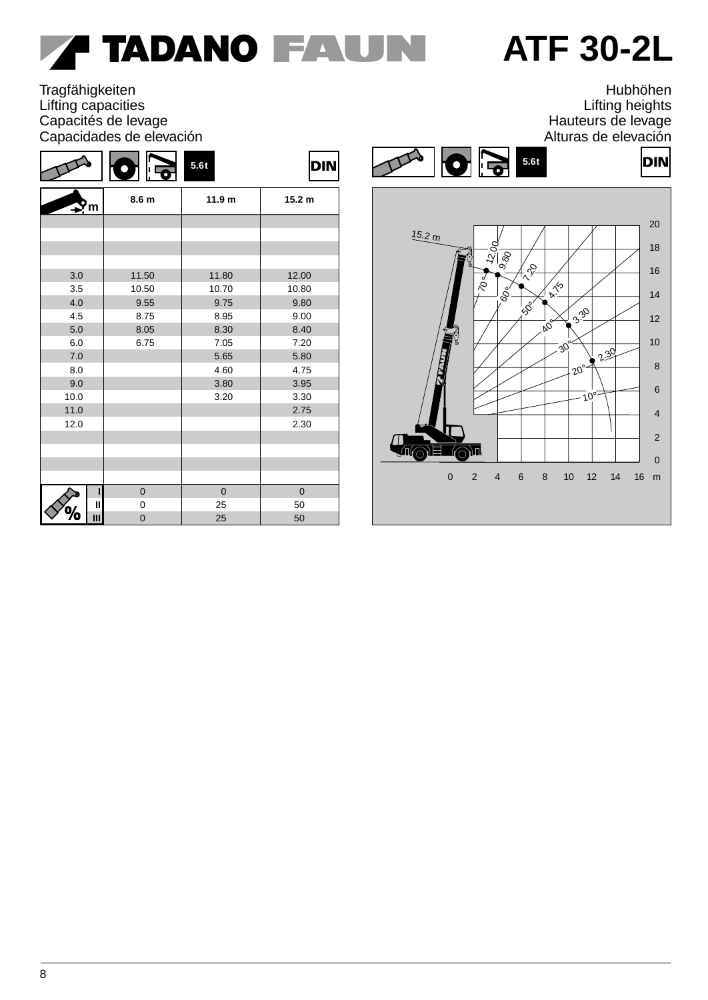# F TADANO FAUN

# **ATF 30-2L**

### **Tragfähigkeiten** Lifting capacities Capacités de levage Capacidades de elevación

|              | D<br>l' Fo  | 5.6t              | <b>DIN</b>        |
|--------------|-------------|-------------------|-------------------|
| 'm           | 8.6 m       | 11.9 <sub>m</sub> | 15.2 <sub>m</sub> |
|              |             |                   |                   |
|              |             |                   |                   |
|              |             |                   |                   |
|              |             |                   |                   |
| 3.0          | 11.50       | 11.80             | 12.00             |
| 3.5          | 10.50       | 10.70             | 10.80             |
| 4.0          | 9.55        | 9.75              | 9.80              |
| 4.5          | 8.75        | 8.95              | 9.00              |
| 5.0          | 8.05        | 8.30              | 8.40              |
| 6.0          | 6.75        | 7.05              | 7.20              |
| 7.0          |             | 5.65              | 5.80              |
| 8.0          |             | 4.60<br>4.75      |                   |
| 9.0          |             | 3.80              | 3.95              |
| 10.0         |             | 3.20              | 3.30              |
| 11.0         |             |                   | 2.75              |
| 12.0         |             |                   | 2.30              |
|              |             |                   |                   |
|              |             |                   |                   |
|              |             |                   |                   |
|              |             |                   |                   |
| П            | $\mathbf 0$ | $\mathbf 0$       | $\mathbf 0$       |
| $\mathbf{I}$ | 0           | 25                | 50                |
| Ш            | $\mathbf 0$ | 25                | 50                |

Hubhöhen Lifting heights Hauteurs de levage Alturas de elevación



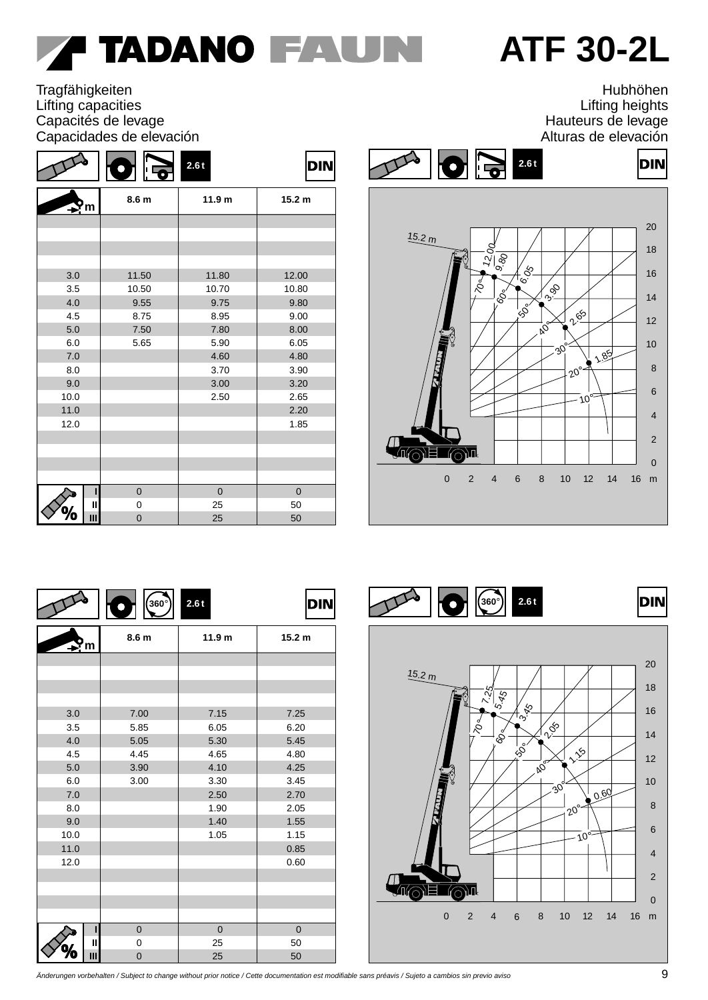# **TADANO FAUNI**

## **ATF 30-2L**

**Tragfähigkeiten** Lifting capacities Capacités de levage Capacidades de elevación

|      | O<br><sup>∦  </sup> प्ल | 2.6t              | <b>DIN</b>        |  |
|------|-------------------------|-------------------|-------------------|--|
| ٢m   | 8.6 m                   | 11.9 <sub>m</sub> | 15.2 <sub>m</sub> |  |
|      |                         |                   |                   |  |
|      |                         |                   |                   |  |
|      |                         |                   |                   |  |
|      |                         |                   |                   |  |
| 3.0  | 11.50                   | 11.80             | 12.00             |  |
| 3.5  | 10.50                   | 10.70             | 10.80             |  |
| 4.0  | 9.55                    | 9.75              | 9.80              |  |
| 4.5  | 8.75                    | 8.95              | 9.00              |  |
| 5.0  | 7.50                    | 7.80              | 8.00              |  |
| 6.0  | 5.65                    | 5.90              | 6.05              |  |
| 7.0  |                         | 4.60              | 4.80              |  |
| 8.0  |                         | 3.70              | 3.90              |  |
| 9.0  |                         | 3.00              | 3.20              |  |
| 10.0 |                         | 2.50              | 2.65              |  |
| 11.0 |                         |                   | 2.20              |  |
| 12.0 |                         |                   | 1.85              |  |
|      |                         |                   |                   |  |
|      |                         |                   |                   |  |
|      |                         |                   |                   |  |
|      |                         |                   |                   |  |
| ı    | $\mathbf 0$             | $\mathbf 0$       | $\mathbf 0$       |  |
| Ш    | 0                       | 25                | 50                |  |
| Ш    | $\mathbf 0$             | 25                | 50                |  |

Hubhöhen Lifting heights Hauteurs de levage Alturas de elevación



|              | $360^\circ$<br>Q | 2.6t              | <b>DIN</b>        |  |  |
|--------------|------------------|-------------------|-------------------|--|--|
| m            | 8.6 m            | 11.9 <sub>m</sub> | 15.2 <sub>m</sub> |  |  |
|              |                  |                   |                   |  |  |
|              |                  |                   |                   |  |  |
|              |                  |                   |                   |  |  |
|              |                  |                   |                   |  |  |
| 3.0<br>3.5   | 7.00<br>5.85     | 7.15<br>6.05      | 7.25<br>6.20      |  |  |
| 4.0          | 5.05             | 5.30              | 5.45              |  |  |
| 4.5          | 4.45             | 4.65              | 4.80              |  |  |
| 5.0          | 3.90             | 4.10              | 4.25              |  |  |
| 6.0          | 3.00             | 3.30              | 3.45              |  |  |
| 7.0          |                  | 2.50              | 2.70              |  |  |
| 8.0          |                  | 1.90              | 2.05              |  |  |
| 9.0          |                  | 1.40              | 1.55              |  |  |
| 10.0         |                  | 1.05              | 1.15              |  |  |
| 11.0         |                  |                   | 0.85              |  |  |
| 12.0         |                  |                   | 0.60              |  |  |
|              |                  |                   |                   |  |  |
|              |                  |                   |                   |  |  |
|              |                  |                   |                   |  |  |
|              |                  |                   |                   |  |  |
| п            | $\overline{0}$   | $\overline{0}$    | $\overline{0}$    |  |  |
| $\mathbf{I}$ | 0                | 25                | 50                |  |  |
| Ш            | 0                | 25                | 50                |  |  |



Änderungen vorbehalten / Subject to change without prior notice / Cette documentation est modifiable sans préavis / Sujeto a cambios sin previo aviso 9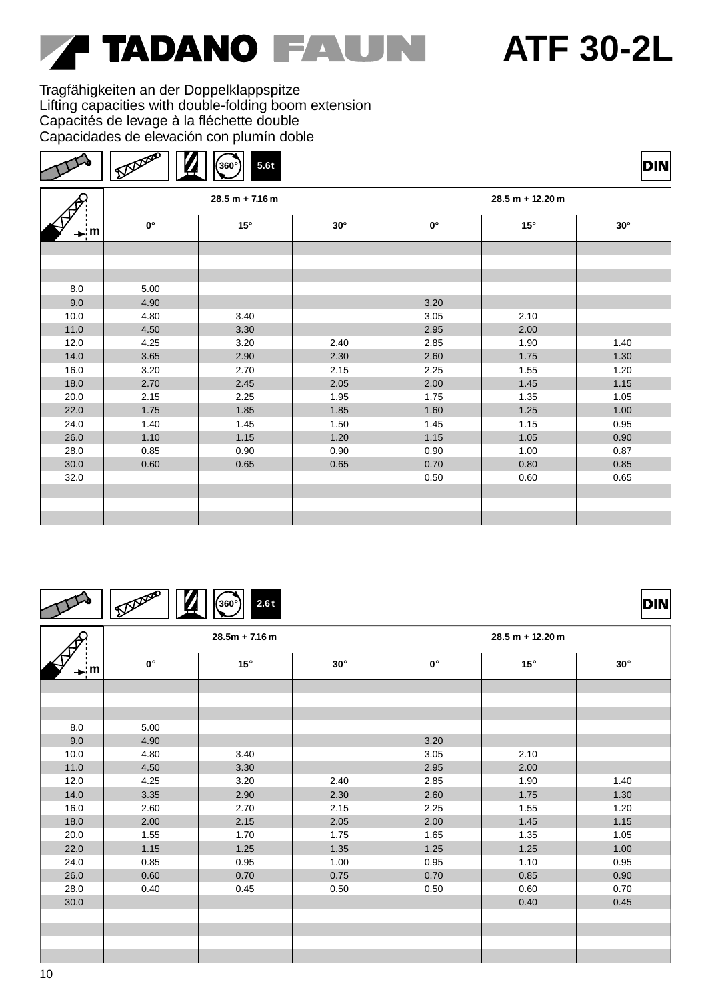# **TADANO FAUN**

### **ATF 30-2L**

**DIN** 

DIN

Tragfähigkeiten an der Doppelklappspitze Lifting capacities with double-folding boom extension Capacités de levage à la fléchette double Capacidades de elevación con plumín doble

|--|--|--|--|

|      |             | $28.5 m + 7.16 m$ |            | $28.5 m + 12.20 m$ |      |            |  |
|------|-------------|-------------------|------------|--------------------|------|------------|--|
| – ¦m | $0^{\circ}$ | $15^\circ$        | $30^\circ$ | $0^{\circ}$        | 15°  | $30^\circ$ |  |
|      |             |                   |            |                    |      |            |  |
|      |             |                   |            |                    |      |            |  |
|      |             |                   |            |                    |      |            |  |
| 8.0  | 5.00        |                   |            |                    |      |            |  |
| 9.0  | 4.90        |                   |            | 3.20               |      |            |  |
| 10.0 | 4.80        | 3.40              |            | 3.05               | 2.10 |            |  |
| 11.0 | 4.50        | 3.30              |            | 2.95               | 2.00 |            |  |
| 12.0 | 4.25        | 3.20              | 2.40       | 2.85               | 1.90 | 1.40       |  |
| 14.0 | 3.65        | 2.90              | 2.30       | 2.60               | 1.75 | 1.30       |  |
| 16.0 | 3.20        | 2.70              | 2.15       | 2.25               | 1.55 | 1.20       |  |
| 18.0 | 2.70        | 2.45              | 2.05       | 2.00               | 1.45 | 1.15       |  |
| 20.0 | 2.15        | 2.25              | 1.95       | 1.75               | 1.35 | 1.05       |  |
| 22.0 | 1.75        | 1.85              | 1.85       | 1.60               | 1.25 | 1.00       |  |
| 24.0 | 1.40        | 1.45              | 1.50       | 1.45               | 1.15 | 0.95       |  |
| 26.0 | 1.10        | 1.15              | 1.20       | 1.15               | 1.05 | 0.90       |  |
| 28.0 | 0.85        | 0.90              | 0.90       | 0.90               | 1.00 | 0.87       |  |
| 30.0 | 0.60        | 0.65              | 0.65       | 0.70               | 0.80 | 0.85       |  |
| 32.0 |             |                   |            | 0.50               | 0.60 | 0.65       |  |
|      |             |                   |            |                    |      |            |  |
|      |             |                   |            |                    |      |            |  |
|      |             |                   |            |                    |      |            |  |

|--|--|--|--|--|

**30**° 8.0 9.0 10.0 11.0 12.0 14.0 16.0 18.0 20.0 22.0 24.0 26.0 28.0 30.0 **28.5m + 7.16 m 0**° **15**° **30**° **0**° **15**° **28.5 m + 12.20 m** 5.00 4.90 4.80 4.50 4.25 3.35 2.60 2.00 1.55 1.15 0.85 0.60 0.40 3.40 3.30 3.20 2.90 2.70 2.15 1.70 1.25 0.95 0.70 0.45 2.40 2.30 2.15 2.05 1.75 1.35 1.00 0.75 0.50 3.20 3.05 2.95 2.85 2.60 2.25 2.00 1.65 1.25 0.95 0.70 0.50 2.10 2.00 1.90 1.75 1.55 1.45 1.35 1.25 1.10 0.85 0.60 0.40 1.40 1.30 1.20 1.15 1.05 1.00 0.95 0.90 0.70 0.45 **m**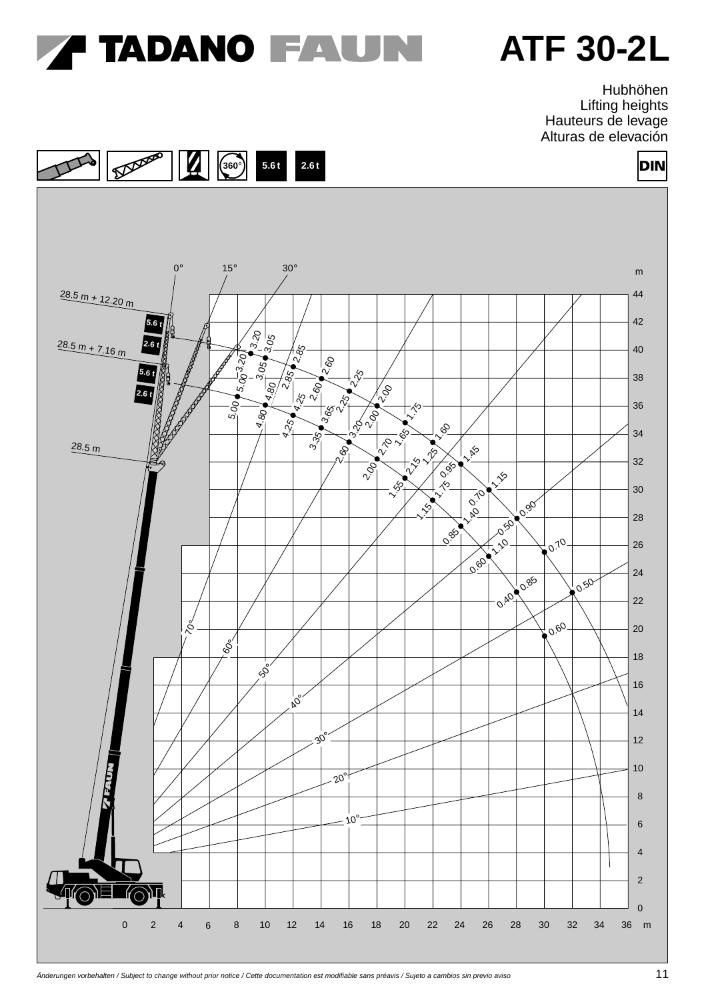

Hubhöhen Lifting heights Hauteurs de levage Alturas de elevación

DIN



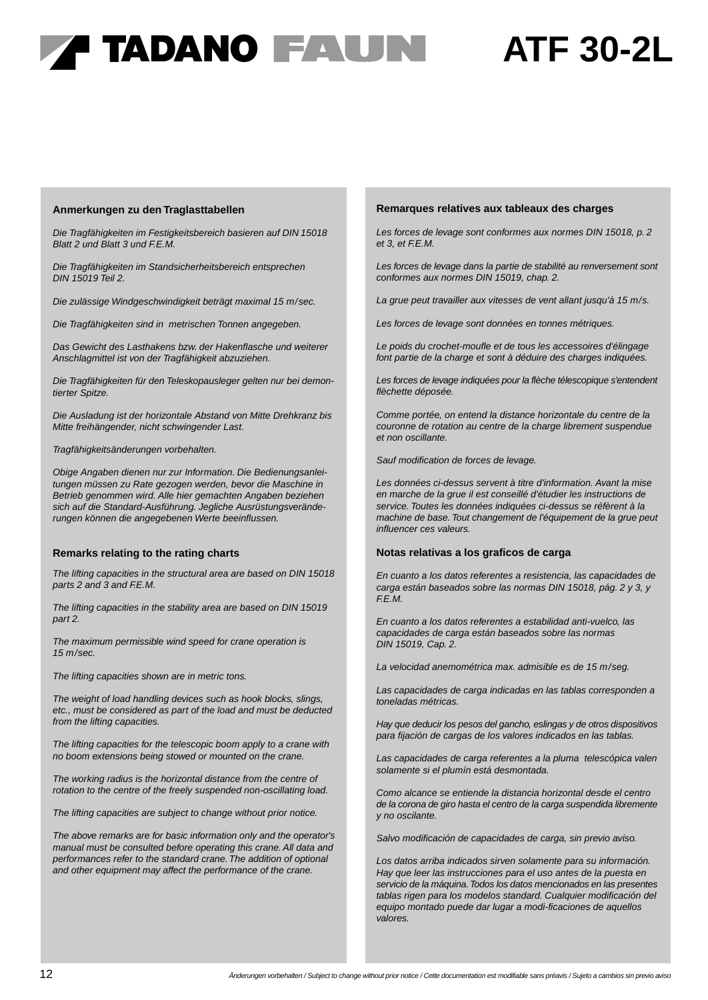## ' TADANO FAUN

## **ATF 30-2L**

#### **Anmerkungen zu den Traglasttabellen**

Die Tragfähigkeiten im Festigkeitsbereich basieren auf DIN 15018 Blatt 2 und Blatt 3 und F.E.M.

Die Tragfähigkeiten im Standsicherheitsbereich entsprechen DIN 15019 Teil 2.

Die zulässige Windgeschwindigkeit beträgt maximal 15 m/sec.

Die Tragfähigkeiten sind in metrischen Tonnen angegeben.

Das Gewicht des Lasthakens bzw. der Hakenflasche und weiterer Anschlagmittel ist von der Tragfähigkeit abzuziehen.

Die Tragfähigkeiten für den Teleskopausleger gelten nur bei demontierter Spitze.

Die Ausladung ist der horizontale Abstand von Mitte Drehkranz bis Mitte freihängender, nicht schwingender Last.

Tragfähigkeitsänderungen vorbehalten.

Obige Angaben dienen nur zur Information. Die Bedienungsanleitungen müssen zu Rate gezogen werden, bevor die Maschine in Betrieb genommen wird. Alle hier gemachten Angaben beziehen sich auf die Standard-Ausführung. Jegliche Ausrüstungsveränderungen können die angegebenen Werte beeinflussen.

#### **Remarks relating to the rating charts**

The lifting capacities in the structural area are based on DIN 15018 parts 2 and 3 and F.E.M.

The lifting capacities in the stability area are based on DIN 15019 part 2.

The maximum permissible wind speed for crane operation is 15 m/sec.

The lifting capacities shown are in metric tons.

The weight of load handling devices such as hook blocks, slings, etc., must be considered as part of the load and must be deducted from the lifting capacities.

The lifting capacities for the telescopic boom apply to a crane with no boom extensions being stowed or mounted on the crane.

The working radius is the horizontal distance from the centre of rotation to the centre of the freely suspended non-oscillating load.

The lifting capacities are subject to change without prior notice.

The above remarks are for basic information only and the operator's manual must be consulted before operating this crane. All data and performances refer to the standard crane. The addition of optional and other equipment may affect the performance of the crane.

#### **Remarques relatives aux tableaux des charges**

Les forces de levage sont conformes aux normes DIN 15018, p. 2 et 3, et F.E.M.

Les forces de levage dans la partie de stabilité au renversement sont conformes aux normes DIN 15019, chap. 2.

La grue peut travailler aux vitesses de vent allant jusqu'à 15 m/s.

Les forces de levage sont données en tonnes métriques.

Le poids du crochet-moufle et de tous les accessoires d'élingage font partie de la charge et sont à déduire des charges indiquées.

Les forces de levage indiquées pour la flèche télescopique s'entendent flèchette déposée.

Comme portée, on entend la distance horizontale du centre de la couronne de rotation au centre de la charge librement suspendue et non oscillante.

Sauf modification de forces de levage.

Les données ci-dessus servent à titre d'information. Avant la mise en marche de la grue il est conseillé d'étudier les instructions de service. Toutes les données indiquées ci-dessus se réfèrent à la machine de base. Tout changement de l'équipement de la grue peut influencer ces valeurs.

#### **Notas relativas a los graficos de carga**

En cuanto a los datos referentes a resistencia, las capacidades de carga están baseados sobre las normas DIN 15018, pág. 2 y 3, y F.E.M.

En cuanto a los datos referentes a estabilidad anti-vuelco, las capacidades de carga están baseados sobre las normas DIN 15019, Cap. 2.

La velocidad anemométrica max. admisible es de 15 m/seg.

Las capacidades de carga indicadas en las tablas corresponden a toneladas métricas.

Hay que deducir los pesos del gancho, eslingas y de otros dispositivos para fijación de cargas de los valores indicados en las tablas.

Las capacidades de carga referentes a la pluma telescópica valen solamente si el plumín está desmontada.

Como alcance se entiende la distancia horizontal desde el centro de la corona de giro hasta el centro de la carga suspendida libremente y no oscilante.

Salvo modificación de capacidades de carga, sin previo aviso.

Los datos arriba indicados sirven solamente para su información. Hay que leer las instrucciones para el uso antes de la puesta en servicio de la máquina. Todos los datos mencionados en las presentes tablas rigen para los modelos standard. Cualquier modificación del equipo montado puede dar lugar a modi-ficaciones de aquellos valores.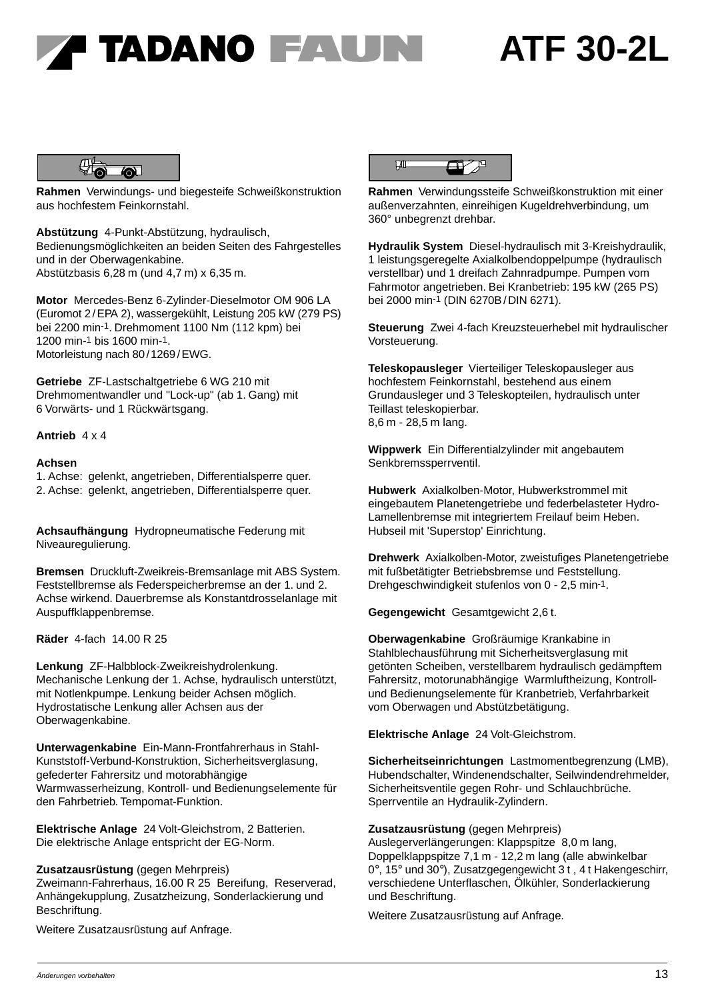



**Rahmen** Verwindungs- und biegesteife Schweißkonstruktion aus hochfestem Feinkornstahl.

**Abstützung** 4-Punkt-Abstützung, hydraulisch, Bedienungsmöglichkeiten an beiden Seiten des Fahrgestelles und in der Oberwagenkabine. Abstützbasis 6,28 m (und 4,7 m) x 6,35 m.

**Motor** Mercedes-Benz 6-Zylinder-Dieselmotor OM 906 LA (Euromot 2 /EPA 2), wassergekühlt, Leistung 205 kW (279 PS) bei 2200 min-1. Drehmoment 1100 Nm (112 kpm) bei 1200 min-1 bis 1600 min-1. Motorleistung nach 80 /1269 /EWG.

**Getriebe** ZF-Lastschaltgetriebe 6 WG 210 mit Drehmomentwandler und "Lock-up" (ab 1. Gang) mit 6 Vorwärts- und 1 Rückwärtsgang.

### **Antrieb** 4 x 4

#### **Achsen**

1. Achse: gelenkt, angetrieben, Differentialsperre quer. 2. Achse: gelenkt, angetrieben, Differentialsperre quer.

**Achsaufhängung** Hydropneumatische Federung mit Niveauregulierung.

**Bremsen** Druckluft-Zweikreis-Bremsanlage mit ABS System. Feststellbremse als Federspeicherbremse an der 1. und 2. Achse wirkend. Dauerbremse als Konstantdrosselanlage mit Auspuffklappenbremse.

**Räder** 4-fach 14.00 R 25

**Lenkung** ZF-Halbblock-Zweikreishydrolenkung. Mechanische Lenkung der 1. Achse, hydraulisch unterstützt, mit Notlenkpumpe. Lenkung beider Achsen möglich. Hydrostatische Lenkung aller Achsen aus der Oberwagenkabine.

**Unterwagenkabine** Ein-Mann-Frontfahrerhaus in Stahl-Kunststoff-Verbund-Konstruktion, Sicherheitsverglasung, gefederter Fahrersitz und motorabhängige Warmwasserheizung, Kontroll- und Bedienungselemente für den Fahrbetrieb. Tempomat-Funktion.

**Elektrische Anlage** 24 Volt-Gleichstrom, 2 Batterien. Die elektrische Anlage entspricht der EG-Norm.

### **Zusatzausrüstung** (gegen Mehrpreis)

Zweimann-Fahrerhaus, 16.00 R 25 Bereifung, Reserverad, Anhängekupplung, Zusatzheizung, Sonderlackierung und Beschriftung.

Weitere Zusatzausrüstung auf Anfrage.



**Rahmen** Verwindungssteife Schweißkonstruktion mit einer außenverzahnten, einreihigen Kugeldrehverbindung, um 360° unbegrenzt drehbar.

**Hydraulik System** Diesel-hydraulisch mit 3-Kreishydraulik, 1 leistungsgeregelte Axialkolbendoppelpumpe (hydraulisch verstellbar) und 1 dreifach Zahnradpumpe. Pumpen vom Fahrmotor angetrieben. Bei Kranbetrieb: 195 kW (265 PS) bei 2000 min-1 (DIN 6270B/DIN 6271).

**Steuerung** Zwei 4-fach Kreuzsteuerhebel mit hydraulischer Vorsteuerung.

**Teleskopausleger** Vierteiliger Teleskopausleger aus hochfestem Feinkornstahl, bestehend aus einem Grundausleger und 3 Teleskopteilen, hydraulisch unter Teillast teleskopierbar. 8,6 m - 28,5 m lang.

**Wippwerk** Ein Differentialzylinder mit angebautem Senkbremssperrventil.

**Hubwerk** Axialkolben-Motor, Hubwerkstrommel mit eingebautem Planetengetriebe und federbelasteter Hydro-Lamellenbremse mit integriertem Freilauf beim Heben. Hubseil mit 'Superstop' Einrichtung.

**Drehwerk** Axialkolben-Motor, zweistufiges Planetengetriebe mit fußbetätigter Betriebsbremse und Feststellung. Drehgeschwindigkeit stufenlos von 0 - 2,5 min-1.

**Gegengewicht** Gesamtgewicht 2,6 t.

**Oberwagenkabine** Großräumige Krankabine in Stahlblechausführung mit Sicherheitsverglasung mit getönten Scheiben, verstellbarem hydraulisch gedämpftem Fahrersitz, motorunabhängige Warmluftheizung, Kontrollund Bedienungselemente für Kranbetrieb, Verfahrbarkeit vom Oberwagen und Abstützbetätigung.

**Elektrische Anlage** 24 Volt-Gleichstrom.

**Sicherheitseinrichtungen** Lastmomentbegrenzung (LMB), Hubendschalter, Windenendschalter, Seilwindendrehmelder, Sicherheitsventile gegen Rohr- und Schlauchbrüche. Sperrventile an Hydraulik-Zylindern.

### **Zusatzausrüstung** (gegen Mehrpreis)

Auslegerverlängerungen: Klappspitze 8,0 m lang, Doppelklappspitze 7,1 m - 12,2 m lang (alle abwinkelbar 0°, 15° und 30°), Zusatzgegengewicht 3 t , 4 t Hakengeschirr, verschiedene Unterflaschen, Ölkühler, Sonderlackierung und Beschriftung.

Weitere Zusatzausrüstung auf Anfrage.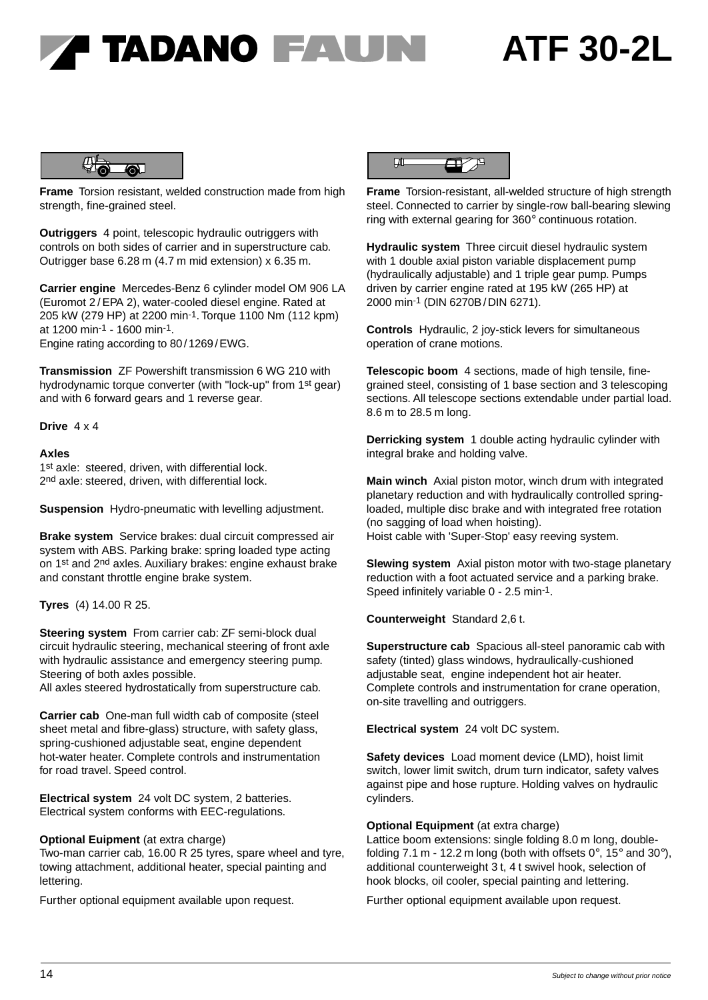## **' TADANO FAUN**

## **ATF 30-2L**



**Frame** Torsion resistant, welded construction made from high strength, fine-grained steel.

**Outriggers** 4 point, telescopic hydraulic outriggers with controls on both sides of carrier and in superstructure cab. Outrigger base 6.28 m (4.7 m mid extension) x 6.35 m.

**Carrier engine** Mercedes-Benz 6 cylinder model OM 906 LA (Euromot 2 / EPA 2), water-cooled diesel engine. Rated at 205 kW (279 HP) at 2200 min-1. Torque 1100 Nm (112 kpm) at 1200 min-1 - 1600 min-1. Engine rating according to 80 / 1269 /EWG.

**Transmission** ZF Powershift transmission 6 WG 210 with hydrodynamic torque converter (with "lock-up" from 1st gear) and with 6 forward gears and 1 reverse gear.

**Drive** 4 x 4

#### **Axles**

1st axle: steered, driven, with differential lock. 2<sup>nd</sup> axle: steered, driven, with differential lock.

**Suspension** Hydro-pneumatic with levelling adjustment.

**Brake system** Service brakes: dual circuit compressed air system with ABS. Parking brake: spring loaded type acting on 1<sup>st</sup> and 2<sup>nd</sup> axles. Auxiliary brakes: engine exhaust brake and constant throttle engine brake system.

**Tyres** (4) 14.00 R 25.

**Steering system** From carrier cab: ZF semi-block dual circuit hydraulic steering, mechanical steering of front axle with hydraulic assistance and emergency steering pump. Steering of both axles possible.

All axles steered hydrostatically from superstructure cab.

**Carrier cab** One-man full width cab of composite (steel sheet metal and fibre-glass) structure, with safety glass, spring-cushioned adjustable seat, engine dependent hot-water heater. Complete controls and instrumentation for road travel. Speed control.

**Electrical system** 24 volt DC system, 2 batteries. Electrical system conforms with EEC-regulations.

### **Optional Euipment** (at extra charge)

Two-man carrier cab, 16.00 R 25 tyres, spare wheel and tyre, towing attachment, additional heater, special painting and lettering.

Further optional equipment available upon request.



**Frame** Torsion-resistant, all-welded structure of high strength steel. Connected to carrier by single-row ball-bearing slewing ring with external gearing for 360° continuous rotation.

**Hydraulic system** Three circuit diesel hydraulic system with 1 double axial piston variable displacement pump (hydraulically adjustable) and 1 triple gear pump. Pumps driven by carrier engine rated at 195 kW (265 HP) at 2000 min-1 (DIN 6270B/DIN 6271).

**Controls** Hydraulic, 2 joy-stick levers for simultaneous operation of crane motions.

**Telescopic boom** 4 sections, made of high tensile, finegrained steel, consisting of 1 base section and 3 telescoping sections. All telescope sections extendable under partial load. 8.6 m to 28.5 m long.

**Derricking system** 1 double acting hydraulic cylinder with integral brake and holding valve.

**Main winch** Axial piston motor, winch drum with integrated planetary reduction and with hydraulically controlled springloaded, multiple disc brake and with integrated free rotation (no sagging of load when hoisting). Hoist cable with 'Super-Stop' easy reeving system.

**Slewing system** Axial piston motor with two-stage planetary reduction with a foot actuated service and a parking brake. Speed infinitely variable 0 - 2.5 min-1.

**Counterweight** Standard 2,6 t.

**Superstructure cab** Spacious all-steel panoramic cab with safety (tinted) glass windows, hydraulically-cushioned adjustable seat, engine independent hot air heater. Complete controls and instrumentation for crane operation, on-site travelling and outriggers.

**Electrical system** 24 volt DC system.

**Safety devices** Load moment device (LMD), hoist limit switch, lower limit switch, drum turn indicator, safety valves against pipe and hose rupture. Holding valves on hydraulic cylinders.

### **Optional Equipment** (at extra charge)

Lattice boom extensions: single folding 8.0 m long, doublefolding 7.1 m - 12.2 m long (both with offsets  $0^\circ$ , 15 $^\circ$  and 30 $^\circ$ ), additional counterweight 3 t, 4 t swivel hook, selection of hook blocks, oil cooler, special painting and lettering.

Further optional equipment available upon request.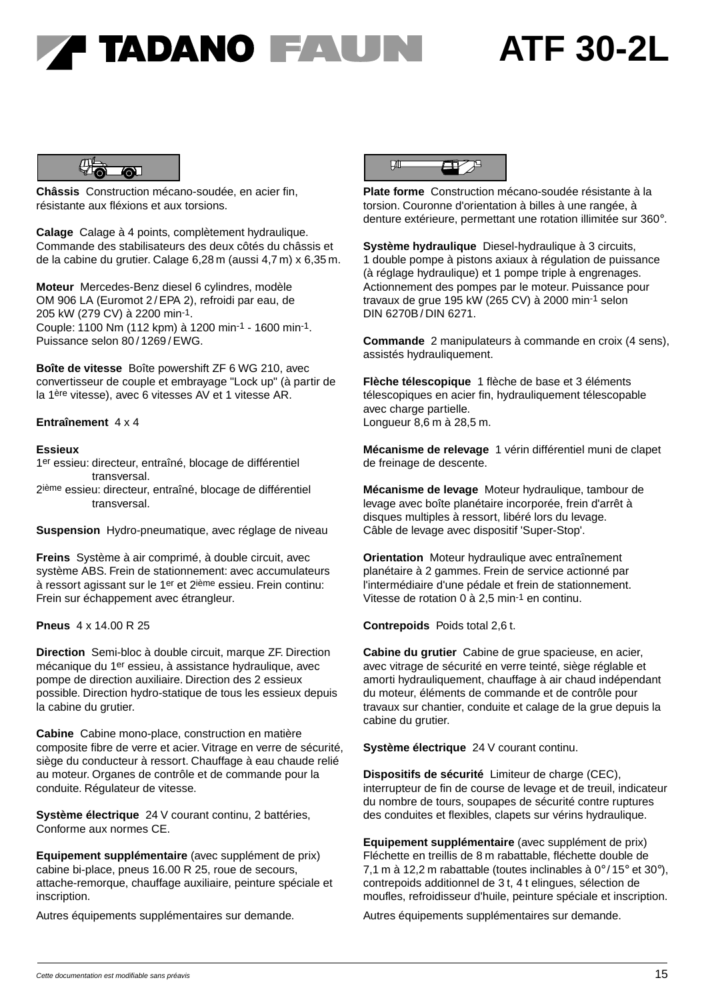### F TADANO FAUNI

## **ATF 30-2L**



**Châssis** Construction mécano-soudée, en acier fin, résistante aux fléxions et aux torsions.

**Calage** Calage à 4 points, complètement hydraulique. Commande des stabilisateurs des deux côtés du châssis et de la cabine du grutier. Calage 6,28 m (aussi 4,7 m) x 6,35 m.

**Moteur** Mercedes-Benz diesel 6 cylindres, modèle OM 906 LA (Euromot 2 / EPA 2), refroidi par eau, de 205 kW (279 CV) à 2200 min-1. Couple: 1100 Nm (112 kpm) à 1200 min-1 - 1600 min-1. Puissance selon 80 / 1269 / EWG.

**Boîte de vitesse** Boîte powershift ZF 6 WG 210, avec convertisseur de couple et embrayage "Lock up" (à partir de la 1ère vitesse), avec 6 vitesses AV et 1 vitesse AR.

### **Entraînement** 4 x 4

### **Essieux**

- 1er essieu: directeur, entraîné, blocage de différentiel Entraînement 4 x 4<br>
Essieux<br>
1<sup>er</sup> essieu: directeur, entraîné, blocage de différentiel<br>
transversal.<br>
2<sup>ième</sup> essieu: directeur, entraîné, blocage de différentiel Essieux<br>
1<sup>er</sup> essieu: directeur, er<br>
transversal.<br>
2<sup>ième</sup> essieu: directeur,<br>
transversal.
- 

**Suspension** Hydro-pneumatique, avec réglage de niveau

**Freins** Système à air comprimé, à double circuit, avec système ABS. Frein de stationnement: avec accumulateurs à ressort agissant sur le 1er et 2ième essieu. Frein continu: Frein sur échappement avec étrangleur.

### **Pneus** 4 x 14.00 R 25

**Direction** Semi-bloc à double circuit, marque ZF. Direction mécanique du 1er essieu, à assistance hydraulique, avec pompe de direction auxiliaire. Direction des 2 essieux possible. Direction hydro-statique de tous les essieux depuis la cabine du grutier.

**Cabine** Cabine mono-place, construction en matière composite fibre de verre et acier. Vitrage en verre de sécurité, siège du conducteur à ressort. Chauffage à eau chaude relié au moteur. Organes de contrôle et de commande pour la conduite. Régulateur de vitesse.

**Système électrique** 24 V courant continu, 2 battéries, Conforme aux normes CE.

**Equipement supplémentaire** (avec supplément de prix) cabine bi-place, pneus 16.00 R 25, roue de secours, attache-remorque, chauffage auxiliaire, peinture spéciale et inscription.

Autres équipements supplémentaires sur demande.



**Plate forme** Construction mécano-soudée résistante à la torsion. Couronne d'orientation à billes à une rangée, à denture extérieure, permettant une rotation illimitée sur 360°.

**Système hydraulique** Diesel-hydraulique à 3 circuits, 1 double pompe à pistons axiaux à régulation de puissance (à réglage hydraulique) et 1 pompe triple à engrenages. Actionnement des pompes par le moteur. Puissance pour travaux de grue 195 kW (265 CV) à 2000 min-1 selon DIN 6270B / DIN 6271.

**Commande** 2 manipulateurs à commande en croix (4 sens), assistés hydrauliquement.

**Flèche télescopique** 1 flèche de base et 3 éléments télescopiques en acier fin, hydrauliquement télescopable avec charge partielle. Longueur 8,6 m à 28,5 m.

**Mécanisme de relevage** 1 vérin différentiel muni de clapet de freinage de descente.

**Mécanisme de levage** Moteur hydraulique, tambour de levage avec boîte planétaire incorporée, frein d'arrêt à disques multiples à ressort, libéré lors du levage. Câble de levage avec dispositif 'Super-Stop'.

**Orientation** Moteur hydraulique avec entraînement planétaire à 2 gammes. Frein de service actionné par l'intermédiaire d'une pédale et frein de stationnement. Vitesse de rotation 0 à 2,5 min-1 en continu.

**Contrepoids** Poids total 2,6 t.

**Cabine du grutier** Cabine de grue spacieuse, en acier, avec vitrage de sécurité en verre teinté, siège réglable et amorti hydrauliquement, chauffage à air chaud indépendant du moteur, éléments de commande et de contrôle pour travaux sur chantier, conduite et calage de la grue depuis la cabine du grutier.

**Système électrique** 24 V courant continu.

**Dispositifs de sécurité** Limiteur de charge (CEC), interrupteur de fin de course de levage et de treuil, indicateur du nombre de tours, soupapes de sécurité contre ruptures des conduites et flexibles, clapets sur vérins hydraulique.

**Equipement supplémentaire** (avec supplément de prix) Fléchette en treillis de 8 m rabattable, fléchette double de 7,1 m à 12,2 m rabattable (toutes inclinables à 0° / 15° et 30°), contrepoids additionnel de 3 t, 4 t elingues, sélection de moufles, refroidisseur d'huile, peinture spéciale et inscription.

Autres équipements supplémentaires sur demande.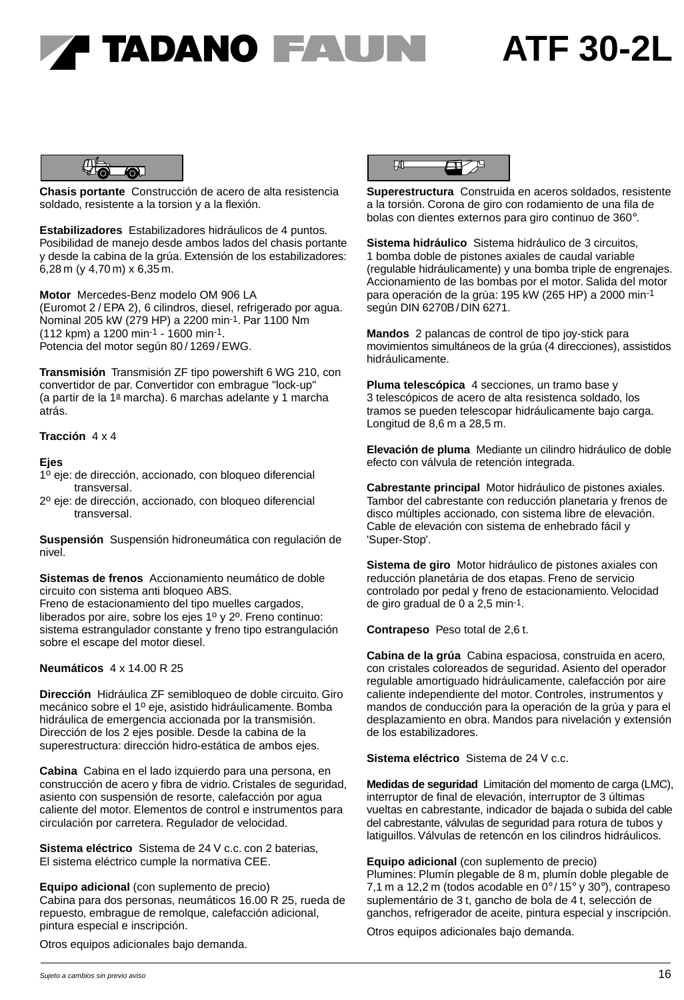### ' TADANO FAUNI

### **ATF 30-2L**



**Chasis portante** Construcción de acero de alta resistencia soldado, resistente a la torsion y a la flexión.

**Estabilizadores** Estabilizadores hidráulicos de 4 puntos. Posibilidad de manejo desde ambos lados del chasis portante y desde la cabina de la grúa. Extensión de los estabilizadores: 6,28 m (y 4,70 m) x 6,35 m.

**Motor** Mercedes-Benz modelo OM 906 LA (Euromot 2 / EPA 2), 6 cilindros, diesel, refrigerado por agua. Nominal 205 kW (279 HP) a 2200 min-1. Par 1100 Nm (112 kpm) a 1200 min-1 - 1600 min-1. Potencia del motor según 80/1269/EWG.

**Transmisión** Transmisión ZF tipo powershift 6 WG 210, con convertidor de par. Convertidor con embrague "lock-up" (a partir de la 1ª marcha). 6 marchas adelante y 1 marcha atrás.

### **Tracción** 4 x 4

#### **Ejes**

- 1<sup>o</sup> eje: de dirección, accionado, con bloqueo diferencial transversal.
- 2º eje: de dirección, accionado, con bloqueo diferencial transversal.

**Suspensión** Suspensión hidroneumática con regulación de nivel.

**Sistemas de frenos** Accionamiento neumático de doble circuito con sistema anti bloqueo ABS. Freno de estacionamiento del tipo muelles cargados, liberados por aire, sobre los ejes  $1^{\circ}$  y  $2^{\circ}$ . Freno continuo: sistema estrangulador constante y freno tipo estrangulación sobre el escape del motor diesel.

#### **Neumáticos** 4 x 14.00 R 25

**Dirección** Hidráulica ZF semibloqueo de doble circuito. Giro mecánico sobre el 1º eje, asistido hidráulicamente. Bomba hidráulica de emergencia accionada por la transmisión. Dirección de los 2 ejes posible. Desde la cabina de la superestructura: dirección hidro-estática de ambos ejes.

**Cabina** Cabina en el lado izquierdo para una persona, en construcción de acero y fibra de vidrio. Cristales de seguridad, asiento con suspensión de resorte, calefacción por agua caliente del motor. Elementos de control e instrumentos para circulación por carretera. Regulador de velocidad.

**Sistema eléctrico** Sistema de 24 V c.c. con 2 baterias, El sistema eléctrico cumple la normativa CEE.

**Equipo adicional** (con suplemento de precio) Cabina para dos personas, neumáticos 16.00 R 25, rueda de repuesto, embrague de remolque, calefacción adicional, pintura especial e inscripción.

Otros equipos adicionales bajo demanda.



**Superestructura** Construida en aceros soldados, resistente a la torsión. Corona de giro con rodamiento de una fila de bolas con dientes externos para giro continuo de 360°.

**Sistema hidráulico** Sistema hidráulico de 3 circuitos, 1 bomba doble de pistones axiales de caudal variable (regulable hidráulicamente) y una bomba triple de engrenajes. Accionamiento de las bombas por el motor. Salida del motor para operación de la grúa: 195 kW (265 HP) a 2000 min-1 según DIN 6270B/DIN 6271.

**Mandos** 2 palancas de control de tipo joy-stick para movimientos simultáneos de la grúa (4 direcciones), assistidos hidráulicamente.

**Pluma telescópica** 4 secciones, un tramo base y 3 telescópicos de acero de alta resistenca soldado, los tramos se pueden telescopar hidráulicamente bajo carga. Longitud de 8,6 m a 28,5 m.

**Elevación de pluma** Mediante un cilindro hidráulico de doble efecto con válvula de retención integrada.

**Cabrestante principal** Motor hidráulico de pistones axiales. Tambor del cabrestante con reducción planetaria y frenos de disco múltiples accionado, con sistema libre de elevación. Cable de elevación con sistema de enhebrado fácil y 'Super-Stop'.

**Sistema de giro** Motor hidráulico de pistones axiales con reducción planetária de dos etapas. Freno de servicio controlado por pedal y freno de estacionamiento. Velocidad de giro gradual de 0 a 2,5 min-1.

**Contrapeso** Peso total de 2,6 t.

**Cabina de la grúa** Cabina espaciosa, construida en acero, con cristales coloreados de seguridad. Asiento del operador regulable amortiguado hidráulicamente, calefacción por aire caliente independiente del motor. Controles, instrumentos y mandos de conducción para la operación de la grúa y para el desplazamiento en obra. Mandos para nivelación y extensión de los estabilizadores.

**Sistema eléctrico** Sistema de 24 V c.c.

**Medidas de seguridad** Limitación del momento de carga (LMC), interruptor de final de elevación, interruptor de 3 últimas vueltas en cabrestante, indicador de bajada o subida del cable del cabrestante, válvulas de seguridad para rotura de tubos y latiguillos. Válvulas de retencón en los cilindros hidráulicos.

**Equipo adicional** (con suplemento de precio) Plumines: Plumín plegable de 8 m, plumín doble plegable de 7,1 m a 12,2 m (todos acodable en 0° / 15° y 30°), contrapeso suplementário de 3 t, gancho de bola de 4 t, selección de ganchos, refrigerador de aceite, pintura especial y inscripción.

Otros equipos adicionales bajo demanda.